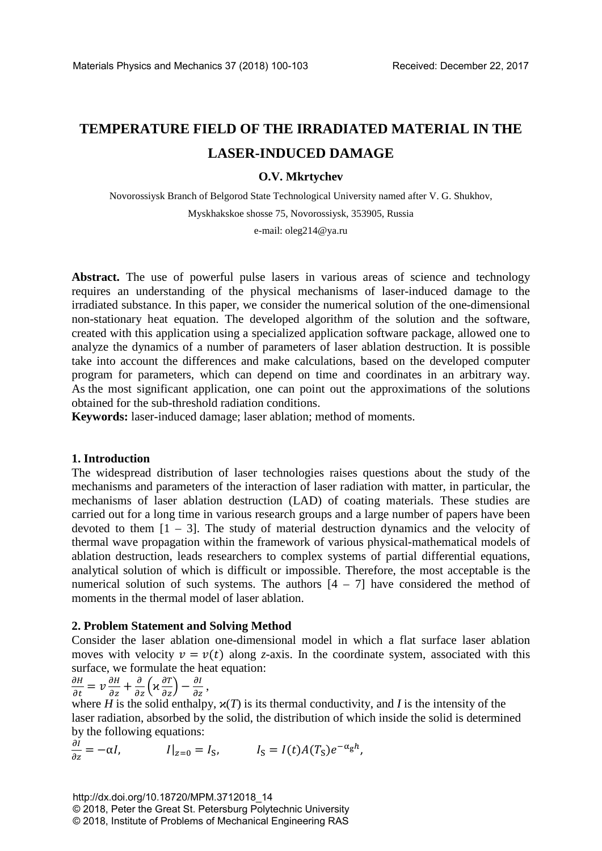# **TEMPERATURE FIELD OF THE IRRADIATED MATERIAL IN THE LASER-INDUCED DAMAGE**

# **O.V. Mkrtychev**

Novorossiysk Branch of Belgorod State Technological University named after V. G. Shukhov, Myskhakskoe shosse 75, Novorossiysk, 353905, Russia

e-mail: oleg214@ya.ru

Abstract. The use of powerful pulse lasers in various areas of science and technology requires an understanding of the physical mechanisms of laser-induced damage to the irradiated substance. In this paper, we consider the numerical solution of the one-dimensional non-stationary heat equation. The developed algorithm of the solution and the software, created with this application using a specialized application software package, allowed one to analyze the dynamics of a number of parameters of laser ablation destruction. It is possible take into account the differences and make calculations, based on the developed computer program for parameters, which can depend on time and coordinates in an arbitrary way. As the most significant application, one can point out the approximations of the solutions obtained for the sub-threshold radiation conditions.

**Keywords:** laser-induced damage; laser ablation; method of moments.

## **1. Introduction**

The widespread distribution of laser technologies raises questions about the study of the mechanisms and parameters of the interaction of laser radiation with matter, in particular, the mechanisms of laser ablation destruction (LAD) of coating materials. These studies are carried out for a long time in various research groups and a large number of papers have been devoted to them  $[1 - 3]$ . The study of material destruction dynamics and the velocity of thermal wave propagation within the framework of various physical-mathematical models of ablation destruction, leads researchers to complex systems of partial differential equations, analytical solution of which is difficult or impossible. Therefore, the most acceptable is the numerical solution of such systems. The authors  $[4 - 7]$  have considered the method of moments in the thermal model of laser ablation.

## **2. Problem Statement and Solving Method**

Consider the laser ablation one-dimensional model in which a flat surface laser ablation moves with velocity  $v = v(t)$  along *z*-axis. In the coordinate system, associated with this surface, we formulate the heat equation:

$$
\frac{\partial H}{\partial t} = \nu \frac{\partial H}{\partial z} + \frac{\partial}{\partial z} \left( \varkappa \frac{\partial T}{\partial z} \right) - \frac{\partial I}{\partial z},
$$

where *H* is the solid enthalpy,  $\mathbf{x}(T)$  is its thermal conductivity, and *I* is the intensity of the laser radiation, absorbed by the solid, the distribution of which inside the solid is determined by the following equations:

$$
\frac{\partial I}{\partial z} = -\alpha I, \qquad I|_{z=0} = I_{S}, \qquad I_{S} = I(t)A(T_{S})e^{-\alpha_{S}h},
$$

http://dx.doi.org/10.18720/MPM.3712018\_14 © 2018, Peter the Great St. Petersburg Polytechnic University © 2018, Institute of Problems of Mechanical Engineering RAS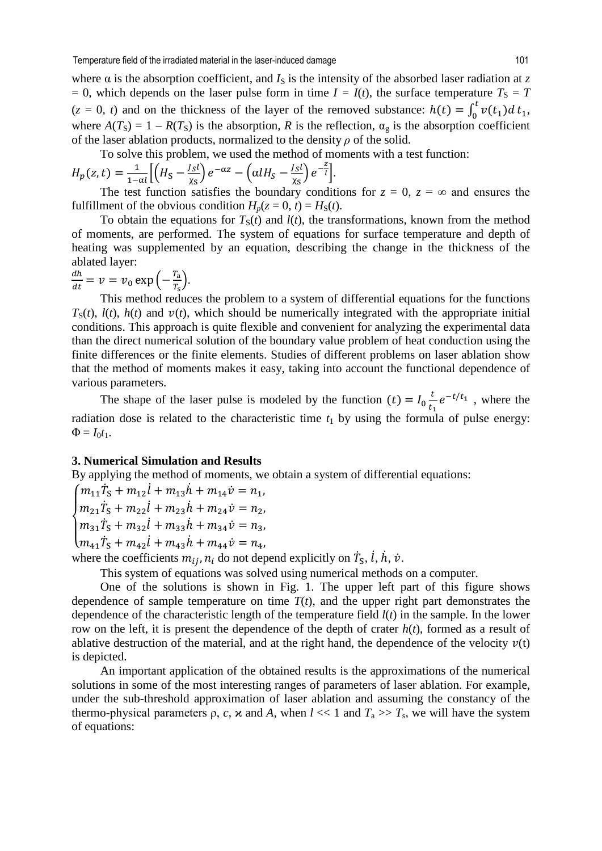where  $\alpha$  is the absorption coefficient, and  $I_S$  is the intensity of the absorbed laser radiation at *z*  $I = 0$ , which depends on the laser pulse form in time  $I = I(t)$ , the surface temperature  $T_S = T$  $(z = 0, t)$  and on the thickness of the layer of the removed substance:  $h(t) = \int_0^t v(t_1) dt_1$ , where  $A(T_S) = 1 - R(T_S)$  is the absorption, *R* is the reflection,  $\alpha_g$  is the absorption coefficient of the laser ablation products, normalized to the density *ρ* of the solid.

To solve this problem, we used the method of moments with a test function:

$$
H_p(z,t) = \frac{1}{1-\alpha l} \Big[ \Big( H_S - \frac{J_S l}{\chi_S} \Big) e^{-\alpha z} - \Big( \alpha l H_S - \frac{J_S l}{\chi_S} \Big) e^{-\frac{z}{l}} \Big].
$$

The test function satisfies the boundary conditions for  $z = 0$ ,  $z = \infty$  and ensures the fulfillment of the obvious condition  $H_p(z = 0, t) = H_S(t)$ .

To obtain the equations for  $T_S(t)$  and  $l(t)$ , the transformations, known from the method of moments, are performed. The system of equations for surface temperature and depth of heating was supplemented by an equation, describing the change in the thickness of the ablated layer:

$$
\frac{dh}{dt} = \nu = \nu_0 \exp\left(-\frac{T_a}{T_s}\right).
$$

This method reduces the problem to a system of differential equations for the functions  $T_S(t)$ ,  $l(t)$ ,  $h(t)$  and  $v(t)$ , which should be numerically integrated with the appropriate initial conditions. This approach is quite flexible and convenient for analyzing the experimental data than the direct numerical solution of the boundary value problem of heat conduction using the finite differences or the finite elements. Studies of different problems on laser ablation show that the method of moments makes it easy, taking into account the functional dependence of various parameters.

The shape of the laser pulse is modeled by the function  $(t) = I_0 \frac{t}{t_1} e^{-t/t_1}$ , where the radiation dose is related to the characteristic time  $t_1$  by using the formula of pulse energy:  $\Phi = I_0 t_1$ .

#### **3. Numerical Simulation and Results**

By applying the method of moments, we obtain a system of differential equations:

 $\overline{\mathcal{L}}$  $\left(m_{41}\dot{T}_{S} + m_{42}\dot{l} + m_{43}\dot{h} + m_{44}\dot{v}\right) = n_{4}$  $\overline{a}$  $\int m_{21} \dot{T}_{S} + m_{22} \dot{l} + m_{23} \dot{h} + m_{24} \dot{v} = n_{2}$  $\int m_{11} \dot{T}_S + m_{12} \dot{l} + m_{13} \dot{h} + m_{14} \dot{v} = n_1,$  $m_{31}\ddot{T}_S + m_{32}\dot{l} + m_{33}\dot{h} + m_{34}\dot{v} = n_3,$ 

where the coefficients  $m_{ij}$ ,  $n_i$  do not depend explicitly on  $\dot{T}_{\rm S}$ ,  $\dot{l}$ ,  $\dot{h}$ ,  $\dot{v}$ .

This system of equations was solved using numerical methods on a computer.

One of the solutions is shown in Fig. 1. The upper left part of this figure shows dependence of sample temperature on time  $T(t)$ , and the upper right part demonstrates the dependence of the characteristic length of the temperature field *l*(*t*) in the sample. In the lower row on the left, it is present the dependence of the depth of crater *h*(*t*), formed as a result of ablative destruction of the material, and at the right hand, the dependence of the velocity  $v(t)$ is depicted.

An important application of the obtained results is the approximations of the numerical solutions in some of the most interesting ranges of parameters of laser ablation. For example, under the sub-threshold approximation of laser ablation and assuming the constancy of the thermo-physical parameters  $\rho$ ,  $c$ ,  $\varkappa$  and  $A$ , when  $l \ll 1$  and  $T_a \gg T_s$ , we will have the system of equations: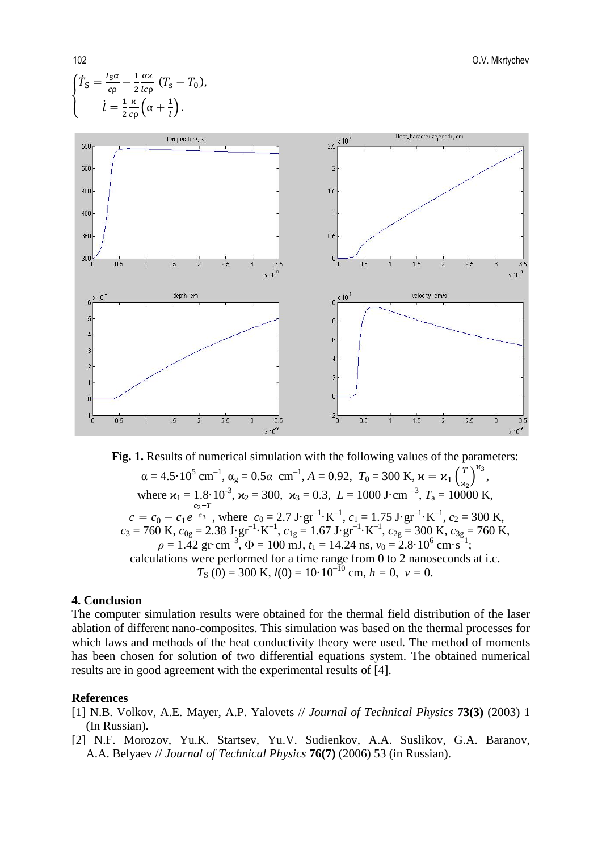



#### **4. Conclusion**

The computer simulation results were obtained for the thermal field distribution of the laser ablation of different nano-composites. This simulation was based on the thermal processes for which laws and methods of the heat conductivity theory were used. The method of moments has been chosen for solution of two differential equations system. The obtained numerical results are in good agreement with the experimental results of [4].

#### **References**

- [1] N.B. Volkov, A.E. Mayer, A.P. Yalovets // *Journal of Technical Physics* **73(3)** (2003) 1 (In Russian).
- [2] N.F. Morozov, Yu.K. Startsev, Yu.V. Sudienkov, A.A. Suslikov, G.A. Baranov, A.A. Belyaev // *Journal of Technical Physics* **76(7)** (2006) 53 (in Russian).